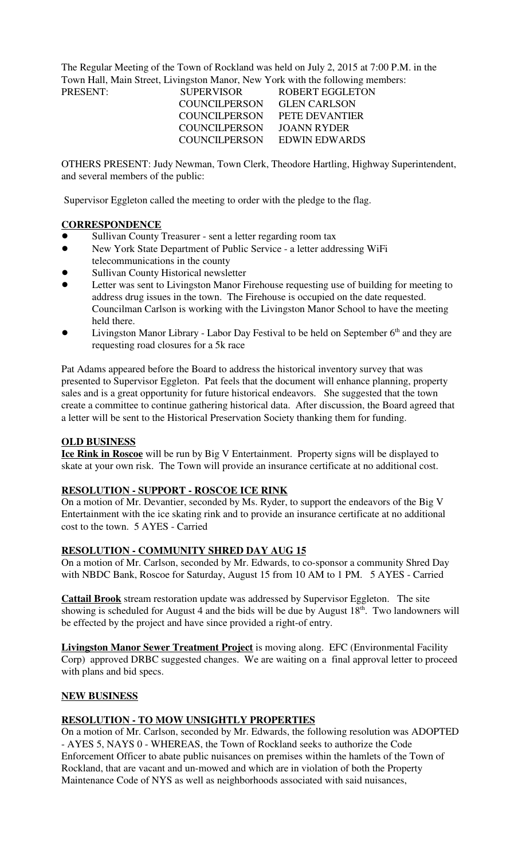The Regular Meeting of the Town of Rockland was held on July 2, 2015 at 7:00 P.M. in the Town Hall, Main Street, Livingston Manor, New York with the following members:

| PRESENT: | <b>SUPERVISOR</b>    | ROBERT EGGLETON       |
|----------|----------------------|-----------------------|
|          | <b>COUNCILPERSON</b> | <b>GLEN CARLSON</b>   |
|          | COUNCILPERSON        | <b>PETE DEVANTIER</b> |
|          | <b>COUNCILPERSON</b> | JOANN RYDER           |
|          | COUNCILPERSON        | EDWIN EDWARDS         |
|          |                      |                       |

OTHERS PRESENT: Judy Newman, Town Clerk, Theodore Hartling, Highway Superintendent, and several members of the public:

Supervisor Eggleton called the meeting to order with the pledge to the flag.

## **CORRESPONDENCE**

- Sullivan County Treasurer sent a letter regarding room tax
- ! New York State Department of Public Service a letter addressing WiFi telecommunications in the county
- Sullivan County Historical newsletter
- Letter was sent to Livingston Manor Firehouse requesting use of building for meeting to address drug issues in the town. The Firehouse is occupied on the date requested. Councilman Carlson is working with the Livingston Manor School to have the meeting held there.
- Livingston Manor Library Labor Day Festival to be held on September  $6<sup>th</sup>$  and they are requesting road closures for a 5k race

Pat Adams appeared before the Board to address the historical inventory survey that was presented to Supervisor Eggleton. Pat feels that the document will enhance planning, property sales and is a great opportunity for future historical endeavors. She suggested that the town create a committee to continue gathering historical data. After discussion, the Board agreed that a letter will be sent to the Historical Preservation Society thanking them for funding.

### **OLD BUSINESS**

**Ice Rink in Roscoe** will be run by Big V Entertainment. Property signs will be displayed to skate at your own risk. The Town will provide an insurance certificate at no additional cost.

### **RESOLUTION - SUPPORT - ROSCOE ICE RINK**

On a motion of Mr. Devantier, seconded by Ms. Ryder, to support the endeavors of the Big V Entertainment with the ice skating rink and to provide an insurance certificate at no additional cost to the town. 5 AYES - Carried

### **RESOLUTION - COMMUNITY SHRED DAY AUG 15**

On a motion of Mr. Carlson, seconded by Mr. Edwards, to co-sponsor a community Shred Day with NBDC Bank, Roscoe for Saturday, August 15 from 10 AM to 1 PM. 5 AYES - Carried

**Cattail Brook** stream restoration update was addressed by Supervisor Eggleton. The site showing is scheduled for August 4 and the bids will be due by August  $18<sup>th</sup>$ . Two landowners will be effected by the project and have since provided a right-of entry.

**Livingston Manor Sewer Treatment Project** is moving along. EFC (Environmental Facility Corp) approved DRBC suggested changes. We are waiting on a final approval letter to proceed with plans and bid specs.

### **NEW BUSINESS**

## **RESOLUTION - TO MOW UNSIGHTLY PROPERTIES**

On a motion of Mr. Carlson, seconded by Mr. Edwards, the following resolution was ADOPTED - AYES 5, NAYS 0 - WHEREAS, the Town of Rockland seeks to authorize the Code Enforcement Officer to abate public nuisances on premises within the hamlets of the Town of Rockland, that are vacant and un-mowed and which are in violation of both the Property Maintenance Code of NYS as well as neighborhoods associated with said nuisances,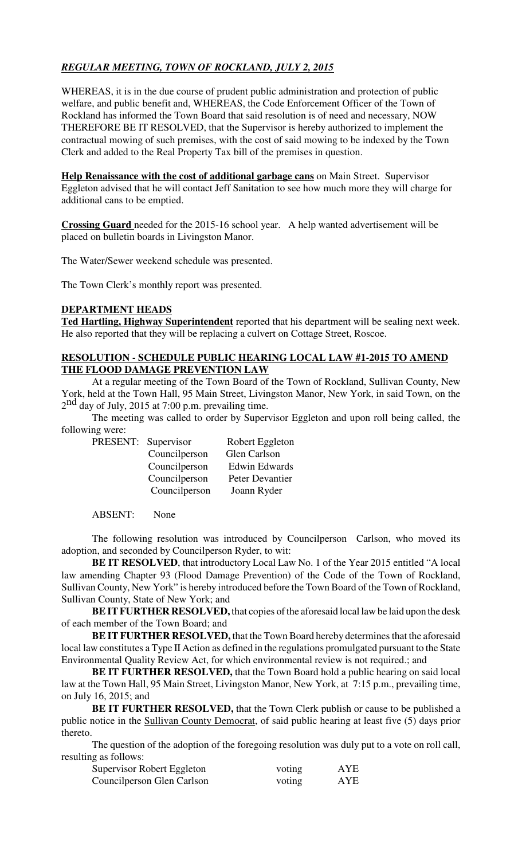# *REGULAR MEETING, TOWN OF ROCKLAND, JULY 2, 2015*

WHEREAS, it is in the due course of prudent public administration and protection of public welfare, and public benefit and, WHEREAS, the Code Enforcement Officer of the Town of Rockland has informed the Town Board that said resolution is of need and necessary, NOW THEREFORE BE IT RESOLVED, that the Supervisor is hereby authorized to implement the contractual mowing of such premises, with the cost of said mowing to be indexed by the Town Clerk and added to the Real Property Tax bill of the premises in question.

**Help Renaissance with the cost of additional garbage cans** on Main Street. Supervisor Eggleton advised that he will contact Jeff Sanitation to see how much more they will charge for additional cans to be emptied.

**Crossing Guard** needed for the 2015-16 school year. A help wanted advertisement will be placed on bulletin boards in Livingston Manor.

The Water/Sewer weekend schedule was presented.

The Town Clerk's monthly report was presented.

#### **DEPARTMENT HEADS**

**Ted Hartling, Highway Superintendent** reported that his department will be sealing next week. He also reported that they will be replacing a culvert on Cottage Street, Roscoe.

### **RESOLUTION - SCHEDULE PUBLIC HEARING LOCAL LAW #1-2015 TO AMEND THE FLOOD DAMAGE PREVENTION LAW**

At a regular meeting of the Town Board of the Town of Rockland, Sullivan County, New York, held at the Town Hall, 95 Main Street, Livingston Manor, New York, in said Town, on the  $2<sup>nd</sup>$  day of July, 2015 at 7:00 p.m. prevailing time.

The meeting was called to order by Supervisor Eggleton and upon roll being called, the following were:

| PRESENT: Supervisor |               | Robert Eggleton      |
|---------------------|---------------|----------------------|
|                     | Councilperson | Glen Carlson         |
|                     | Councilperson | <b>Edwin Edwards</b> |
|                     | Councilperson | Peter Devantier      |

Councilperson Joann Ryder

ABSENT: None

The following resolution was introduced by Councilperson Carlson, who moved its adoption, and seconded by Councilperson Ryder, to wit:

**BE IT RESOLVED**, that introductory Local Law No. 1 of the Year 2015 entitled "A local law amending Chapter 93 (Flood Damage Prevention) of the Code of the Town of Rockland, Sullivan County, New York" is hereby introduced before the Town Board of the Town of Rockland, Sullivan County, State of New York; and

**BE IT FURTHER RESOLVED,** that copies of the aforesaid local law be laid upon the desk of each member of the Town Board; and

**BE IT FURTHER RESOLVED,** that the Town Board hereby determines that the aforesaid local law constitutes a Type II Action as defined in the regulations promulgated pursuant to the State Environmental Quality Review Act, for which environmental review is not required.; and

**BE IT FURTHER RESOLVED,** that the Town Board hold a public hearing on said local law at the Town Hall, 95 Main Street, Livingston Manor, New York, at 7:15 p.m., prevailing time, on July 16, 2015; and

**BE IT FURTHER RESOLVED,** that the Town Clerk publish or cause to be published a public notice in the Sullivan County Democrat, of said public hearing at least five (5) days prior thereto.

The question of the adoption of the foregoing resolution was duly put to a vote on roll call, resulting as follows:

| Supervisor Robert Eggleton | voting | AYE |
|----------------------------|--------|-----|
| Councilperson Glen Carlson | voting | AYE |